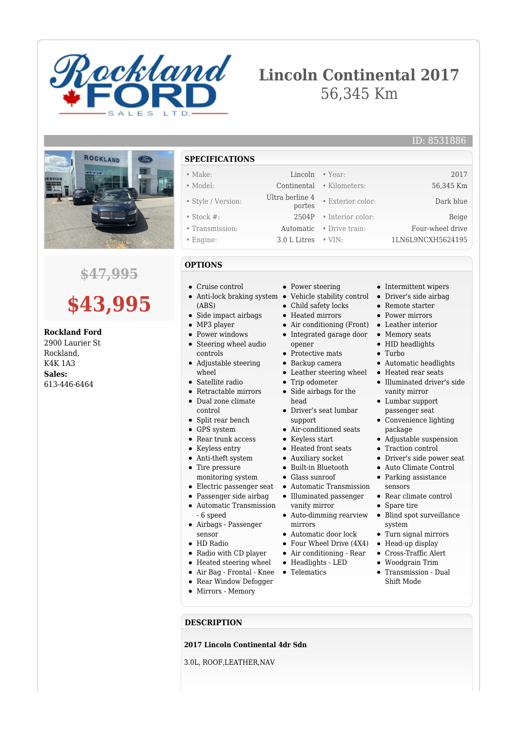

## **Lincoln Continental 2017** 56,345 Km



## **\$47,995**

# **\$43,995**

#### **Rockland Ford**

2900 Laurier St Rockland, K4K 1A3 **Sales:** 613-446-6464

**SPECIFICATIONS**

#### • Make: Lincoln • Year: 2017

- Model: Continental Kilometers: 56,345 Km
- Style / Version: Ultra berline 4 • Stock #: 2504P • Interior color: Beige
- Transmission: Automatic Drive train: Four-wheel drive
- Engine: 3.0 L Litres VIN: 1LN6L9NCXH5624195
- **OPTIONS**
- Cruise control
- Anti-lock braking system (ABS)
- Side impact airbags
- MP3 player
- Power windows  $\bullet$
- $\bullet$ Steering wheel audio controls
- Adjustable steering wheel
- Satellite radio
- Retractable mirrors Dual zone climate
- control
- Split rear bench
- GPS system
- Rear trunk access
- Keyless entry
- Anti-theft system
- Tire pressure monitoring system
- Electric passenger seat
- Passenger side airbag
- $\bullet$ Automatic Transmission - 6 speed
- Airbags Passenger sensor
- HD Radio
- Radio with CD player
- Heated steering wheel
- Air Bag Frontal Knee
- Rear Window Defogger
- Mirrors Memory
- 
- Power steering
- Vehicle stability control Driver's side airbag
- Child safety locks  $\bullet$
- Heated mirrors
- Air conditioning (Front) Leather interior
- Integrated garage door opener
- Protective mats
- Backup camera
- Leather steering wheel
- Trip odometer
- Side airbags for the head
- Driver's seat lumbar support
- Air-conditioned seats
- Keyless start
- Heated front seats
- Auxiliary socket
- Built-in Bluetooth
- Glass sunroof
- Automatic Transmission
- Illuminated passenger
- vanity mirror Auto-dimming rearview
- mirrors Automatic door lock
- Four Wheel Drive (4X4)
- Air conditioning Rear
- Headlights LED
- Telematics
	-

• Intermittent wipers

ID: 8531886

- 
- Remote starter
- Power mirrors
- 
- Memory seats
- HID headlights
- Turbo

• Exterior color: Dark blue

- Automatic headlights Heated rear seats
- Illuminated driver's side vanity mirror
- Lumbar support passenger seat
- Convenience lighting package
- Adjustable suspension
- Traction control
- Driver's side power seat
- Auto Climate Control
- Parking assistance sensors
- Rear climate control
- Spare tire  $\bullet$ 
	- Blind spot surveillance system
- Turn signal mirrors
- Head-up display
- Cross-Traffic Alert
- $\bullet$ Woodgrain Trim
- Transmission Dual Shift Mode

**DESCRIPTION**

#### **2017 Lincoln Continental 4dr Sdn**

3.0L, ROOF,LEATHER,NAV